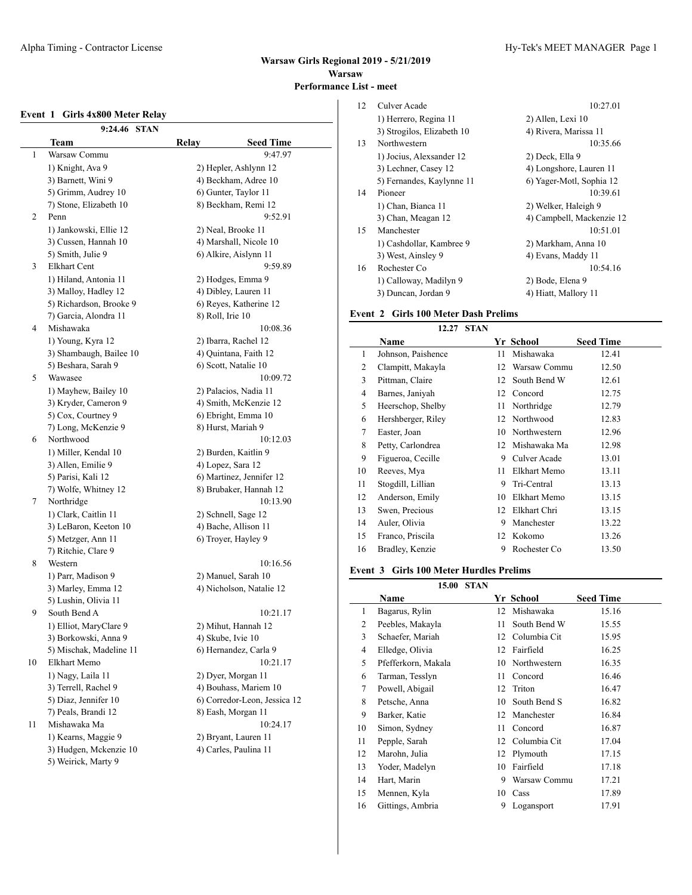#### **Event 1 Girls 4x800 Meter Relay**

|    | 9:24.46<br><b>STAN</b>  |                              |
|----|-------------------------|------------------------------|
|    | Team                    | Relay<br><b>Seed Time</b>    |
| 1  | Warsaw Commu            | 9:47.97                      |
|    | 1) Knight, Ava 9        | 2) Hepler, Ashlynn 12        |
|    | 3) Barnett, Wini 9      | 4) Beckham, Adree 10         |
|    | 5) Grimm, Audrey 10     | 6) Gunter, Taylor 11         |
|    | 7) Stone, Elizabeth 10  | 8) Beckham, Remi 12          |
| 2  | Penn                    | 9:52.91                      |
|    | 1) Jankowski, Ellie 12  | 2) Neal, Brooke 11           |
|    | 3) Cussen, Hannah 10    | 4) Marshall, Nicole 10       |
|    | 5) Smith, Julie 9       | 6) Alkire, Aislynn 11        |
| 3  | Elkhart Cent            | 9:59.89                      |
|    | 1) Hiland, Antonia 11   | 2) Hodges, Emma 9            |
|    | 3) Malloy, Hadley 12    | 4) Dibley, Lauren 11         |
|    | 5) Richardson, Brooke 9 | 6) Reyes, Katherine 12       |
|    | 7) Garcia, Alondra 11   | 8) Roll, Irie 10             |
| 4  | Mishawaka               | 10:08.36                     |
|    | 1) Young, Kyra 12       | 2) Ibarra, Rachel 12         |
|    | 3) Shambaugh, Bailee 10 | 4) Quintana, Faith 12        |
|    | 5) Beshara, Sarah 9     | 6) Scott, Natalie 10         |
| 5  | Wawasee                 | 10:09.72                     |
|    | 1) Mayhew, Bailey 10    | 2) Palacios, Nadia 11        |
|    | 3) Kryder, Cameron 9    | 4) Smith, McKenzie 12        |
|    | 5) Cox, Courtney 9      | 6) Ebright, Emma 10          |
|    | 7) Long, McKenzie 9     | 8) Hurst, Mariah 9           |
| 6  | Northwood               | 10:12.03                     |
|    | 1) Miller, Kendal 10    | 2) Burden, Kaitlin 9         |
|    | 3) Allen, Emilie 9      | 4) Lopez, Sara 12            |
|    | 5) Parisi, Kali 12      | 6) Martinez, Jennifer 12     |
|    | 7) Wolfe, Whitney 12    | 8) Brubaker, Hannah 12       |
| 7  | Northridge              | 10:13.90                     |
|    | 1) Clark, Caitlin 11    | 2) Schnell, Sage 12          |
|    | 3) LeBaron, Keeton 10   | 4) Bache, Allison 11         |
|    | 5) Metzger, Ann 11      | 6) Troyer, Hayley 9          |
|    | 7) Ritchie, Clare 9     |                              |
| 8  | Western                 | 10:16.56                     |
|    | 1) Parr, Madison 9      | 2) Manuel, Sarah 10          |
|    | 3) Marley, Emma 12      | 4) Nicholson, Natalie 12     |
|    | 5) Lushin, Olivia 11    |                              |
| 9  | South Bend A            | 10:21.17                     |
|    | 1) Elliot, MaryClare 9  | 2) Mihut, Hannah 12          |
|    | 3) Borkowski, Anna 9    | 4) Skube, Ivie 10            |
|    | 5) Mischak, Madeline 11 | 6) Hernandez, Carla 9        |
| 10 | Elkhart Memo            | 10:21.17                     |
|    | 1) Nagy, Laila 11       | 2) Dyer, Morgan 11           |
|    | 3) Terrell, Rachel 9    | 4) Bouhass, Mariem 10        |
|    | 5) Diaz, Jennifer 10    | 6) Corredor-Leon, Jessica 12 |
|    | 7) Peals, Brandi 12     | 8) Eash, Morgan 11           |
| 11 | Mishawaka Ma            | 10:24.17                     |
|    | 1) Kearns, Maggie 9     | 2) Bryant, Lauren 11         |
|    | 3) Hudgen, Mckenzie 10  | 4) Carles, Paulina 11        |
|    | 5) Weirick, Marty 9     |                              |

| 12 | Culver Acade               | 10:27.01                  |
|----|----------------------------|---------------------------|
|    | 1) Herrero, Regina 11      | 2) Allen, Lexi 10         |
|    | 3) Strogilos, Elizabeth 10 | 4) Rivera, Marissa 11     |
| 13 | Northwestern               | 10:35.66                  |
|    | 1) Jocius, Alexsander 12   | 2) Deck, Ella 9           |
|    | 3) Lechner, Casey 12       | 4) Longshore, Lauren 11   |
|    | 5) Fernandes, Kaylynne 11  | 6) Yager-Motl, Sophia 12  |
| 14 | Pioneer                    | 10:39.61                  |
|    | 1) Chan, Bianca 11         | 2) Welker, Haleigh 9      |
|    | 3) Chan, Meagan 12         | 4) Campbell, Mackenzie 12 |
| 15 | Manchester                 | 10:51.01                  |
|    | 1) Cashdollar, Kambree 9   | 2) Markham, Anna 10       |
|    | 3) West, Ainsley 9         | 4) Evans, Maddy 11        |
| 16 | Rochester Co               | 10:54.16                  |
|    | 1) Calloway, Madilyn 9     | 2) Bode, Elena 9          |
|    | 3) Duncan, Jordan 9        | 4) Hiatt, Mallory 11      |

# **Event 2 Girls 100 Meter Dash Prelims**

|    | <b>STAN</b><br>12.27 |    |              |                  |
|----|----------------------|----|--------------|------------------|
|    | Name                 |    | Yr School    | <b>Seed Time</b> |
| 1  | Johnson, Paishence   | 11 | Mishawaka    | 12.41            |
| 2  | Clampitt, Makayla    | 12 | Warsaw Commu | 12.50            |
| 3  | Pittman, Claire      | 12 | South Bend W | 12.61            |
| 4  | Barnes, Janiyah      | 12 | Concord      | 12.75            |
| 5  | Heerschop, Shelby    | 11 | Northridge   | 12.79            |
| 6  | Hershberger, Riley   | 12 | Northwood    | 12.83            |
| 7  | Easter, Joan         | 10 | Northwestern | 12.96            |
| 8  | Petty, Carlondrea    | 12 | Mishawaka Ma | 12.98            |
| 9  | Figueroa, Cecille    | 9  | Culver Acade | 13.01            |
| 10 | Reeves, Mya          | 11 | Elkhart Memo | 13.11            |
| 11 | Stogdill, Lillian    | 9  | Tri-Central  | 13.13            |
| 12 | Anderson, Emily      | 10 | Elkhart Memo | 13.15            |
| 13 | Swen, Precious       | 12 | Elkhart Chri | 13.15            |
| 14 | Auler, Olivia        | 9  | Manchester   | 13.22            |
| 15 | Franco, Priscila     | 12 | Kokomo       | 13.26            |
| 16 | Bradley, Kenzie      | 9  | Rochester Co | 13.50            |

## **Event 3 Girls 100 Meter Hurdles Prelims**

|    | 15.00               | <b>STAN</b> |              |                  |  |
|----|---------------------|-------------|--------------|------------------|--|
|    | Name                |             | Yr School    | <b>Seed Time</b> |  |
| 1  | Bagarus, Rylin      | 12          | Mishawaka    | 15.16            |  |
| 2  | Peebles, Makayla    | 11          | South Bend W | 15.55            |  |
| 3  | Schaefer, Mariah    | 12          | Columbia Cit | 15.95            |  |
| 4  | Elledge, Olivia     | 12          | Fairfield    | 16.25            |  |
| 5  | Pfefferkorn, Makala | 10          | Northwestern | 16.35            |  |
| 6  | Tarman, Tesslyn     | 11          | Concord      | 16.46            |  |
| 7  | Powell, Abigail     | 12          | Triton       | 16.47            |  |
| 8  | Petsche, Anna       | 10          | South Bend S | 16.82            |  |
| 9  | Barker, Katie       | 12          | Manchester   | 16.84            |  |
| 10 | Simon, Sydney       | 11          | Concord      | 16.87            |  |
| 11 | Pepple, Sarah       | 12          | Columbia Cit | 17.04            |  |
| 12 | Marohn, Julia       | 12          | Plymouth     | 17.15            |  |
| 13 | Yoder, Madelyn      | 10          | Fairfield    | 17.18            |  |
| 14 | Hart, Marin         | 9           | Warsaw Commu | 17.21            |  |
| 15 | Mennen, Kyla        | 10          | Cass         | 17.89            |  |
| 16 | Gittings, Ambria    | 9           | Logansport   | 17.91            |  |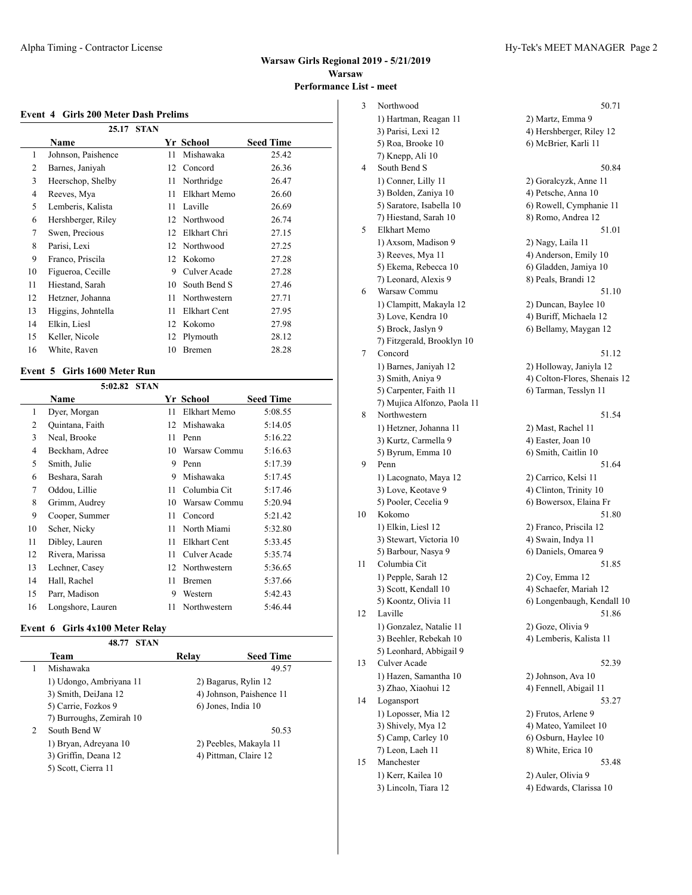#### **Event 4 Girls 200 Meter Dash Prelims**

|    | 25.17              | <b>STAN</b> |                   |                  |
|----|--------------------|-------------|-------------------|------------------|
|    | Name               |             | Yr School         | <b>Seed Time</b> |
| 1  | Johnson, Paishence | 11          | Mishawaka         | 25.42            |
| 2  | Barnes, Janiyah    | 12          | Concord           | 26.36            |
| 3  | Heerschop, Shelby  | 11          | Northridge        | 26.47            |
| 4  | Reeves, Mya        | 11          | Elkhart Memo      | 26.60            |
| 5  | Lemberis, Kalista  | 11          | Laville           | 26.69            |
| 6  | Hershberger, Riley | 12          | Northwood         | 26.74            |
| 7  | Swen, Precious     | 12          | Elkhart Chri      | 27.15            |
| 8  | Parisi, Lexi       | 12          | Northwood         | 27.25            |
| 9  | Franco, Priscila   | 12          | Kokomo            | 27.28            |
| 10 | Figueroa, Cecille  |             | Culver Acade<br>9 | 27.28            |
| 11 | Hiestand, Sarah    | 10          | South Bend S      | 27.46            |
| 12 | Hetzner, Johanna   | 11          | Northwestern      | 27.71            |
| 13 | Higgins, Johntella | 11          | Elkhart Cent      | 27.95            |
| 14 | Elkin, Liesl       | 12          | Kokomo            | 27.98            |
| 15 | Keller, Nicole     | 12          | Plymouth          | 28.12            |
| 16 | White, Raven       | 10          | Bremen            | 28.28            |
|    |                    |             |                   |                  |

#### **Event 5 Girls 1600 Meter Run**

|                | 5:02.82 STAN      |    |               |                  |
|----------------|-------------------|----|---------------|------------------|
|                | Name              |    | Yr School     | <b>Seed Time</b> |
| 1              | Dyer, Morgan      | 11 | Elkhart Memo  | 5:08.55          |
| $\overline{c}$ | Quintana, Faith   | 12 | Mishawaka     | 5:14.05          |
| 3              | Neal, Brooke      | 11 | Penn          | 5:16.22          |
| 4              | Beckham, Adree    | 10 | Warsaw Commu  | 5:16.63          |
| 5              | Smith, Julie      | 9  | Penn          | 5:17.39          |
| 6              | Beshara, Sarah    | 9  | Mishawaka     | 5:17.45          |
| 7              | Oddou, Lillie     | 11 | Columbia Cit  | 5:17.46          |
| 8              | Grimm, Audrey     | 10 | Warsaw Commu  | 5:20.94          |
| 9              | Cooper, Summer    | 11 | Concord       | 5:21.42          |
| 10             | Scher, Nicky      | 11 | North Miami   | 5:32.80          |
| 11             | Dibley, Lauren    | 11 | Elkhart Cent  | 5:33.45          |
| 12             | Rivera, Marissa   | 11 | Culver Acade  | 5:35.74          |
| 13             | Lechner, Casey    | 12 | Northwestern  | 5:36.65          |
| 14             | Hall, Rachel      | 11 | <b>Bremen</b> | 5:37.66          |
| 15             | Parr, Madison     | 9  | Western       | 5:42.43          |
| 16             | Longshore, Lauren | 11 | Northwestern  | 5:46.44          |

## **Event 6 Girls 4x100 Meter Relay**

|                | <b>STAN</b><br>48.77     |       |                          |
|----------------|--------------------------|-------|--------------------------|
|                | Team                     | Relav | <b>Seed Time</b>         |
|                | Mishawaka                |       | 49.57                    |
|                | 1) Udongo, Ambriyana 11  |       | 2) Bagarus, Rylin 12     |
|                | 3) Smith, DeiJana 12     |       | 4) Johnson, Paishence 11 |
|                | 5) Carrie, Fozkos 9      |       | 6) Jones, India 10       |
|                | 7) Burroughs, Zemirah 10 |       |                          |
| $\overline{c}$ | South Bend W             |       | 50.53                    |
|                | 1) Bryan, Adreyana 10    |       | 2) Peebles, Makayla 11   |
|                | 3) Griffin, Deana 12     |       | 4) Pittman, Claire 12    |
|                | 5) Scott, Cierra 11      |       |                          |

| 3  | Northwood                                   | 50.71                                          |
|----|---------------------------------------------|------------------------------------------------|
|    | 1) Hartman, Reagan 11                       | 2) Martz, Emma 9                               |
|    | 3) Parisi, Lexi 12                          | 4) Hershberger, Riley 12                       |
|    | 5) Roa, Brooke 10                           | 6) McBrier, Karli 11                           |
|    | 7) Knepp, Ali 10                            |                                                |
| 4  | South Bend S                                | 50.84                                          |
|    | 1) Conner, Lilly 11                         | 2) Goralcyzk, Anne 11                          |
|    | 3) Bolden, Zaniya 10                        | 4) Petsche, Anna 10                            |
|    | 5) Saratore, Isabella 10                    | 6) Rowell, Cymphanie 11                        |
|    | 7) Hiestand, Sarah 10                       | 8) Romo, Andrea 12                             |
| 5  | Elkhart Memo                                | 51.01                                          |
|    | 1) Axsom, Madison 9                         | 2) Nagy, Laila 11                              |
|    | 3) Reeves, Mya 11                           | 4) Anderson, Emily 10                          |
|    | 5) Ekema, Rebecca 10                        | 6) Gladden, Jamiya 10                          |
|    | 7) Leonard, Alexis 9                        | 8) Peals, Brandi 12                            |
| 6  | Warsaw Commu                                | 51.10                                          |
|    | 1) Clampitt, Makayla 12                     | 2) Duncan, Baylee 10                           |
|    | 3) Love, Kendra 10                          | 4) Buriff, Michaela 12                         |
|    | 5) Brock, Jaslyn 9                          | 6) Bellamy, Maygan 12                          |
|    | 7) Fitzgerald, Brooklyn 10                  |                                                |
| 7  | Concord                                     | 51.12                                          |
|    | 1) Barnes, Janiyah 12                       | 2) Holloway, Janiyla 12                        |
|    | 3) Smith, Aniya 9                           | 4) Colton-Flores, Shenais 12                   |
|    | 5) Carpenter, Faith 11                      | 6) Tarman, Tesslyn 11                          |
|    | 7) Mujica Alfonzo, Paola 11                 |                                                |
| 8  | Northwestern                                | 51.54                                          |
|    | 1) Hetzner, Johanna 11                      | 2) Mast, Rachel 11                             |
|    | 3) Kurtz, Carmella 9                        | 4) Easter, Joan 10                             |
|    | 5) Byrum, Emma 10                           | 6) Smith, Caitlin 10                           |
| 9  | Penn                                        | 51.64                                          |
|    | 1) Lacognato, Maya 12<br>3) Love, Keotave 9 | 2) Carrico, Kelsi 11<br>4) Clinton, Trinity 10 |
|    | 5) Pooler, Cecelia 9                        | 6) Bowersox, Elaina Fr                         |
| 10 | Kokomo                                      | 51.80                                          |
|    | 1) Elkin, Liesl 12                          | 2) Franco, Priscila 12                         |
|    | 3) Stewart, Victoria 10                     | 4) Swain, Indya 11                             |
|    | 5) Barbour, Nasya 9                         | 6) Daniels, Omarea 9                           |
| 11 | Columbia Cit                                | 51.85                                          |
|    | 1) Pepple, Sarah 12                         | 2) Coy, Emma 12                                |
|    | 3) Scott, Kendall 10                        | 4) Schaefer, Mariah 12                         |
|    | 5) Koontz, Olivia 11                        | 6) Longenbaugh, Kendall 10                     |
| 12 | Laville                                     | 51.86                                          |
|    | 1) Gonzalez, Natalie 11                     | 2) Goze, Olivia 9                              |
|    | 3) Beehler, Rebekah 10                      | 4) Lemberis, Kalista 11                        |
|    | 5) Leonhard, Abbigail 9                     |                                                |
| 13 | Culver Acade                                | 52.39                                          |
|    | 1) Hazen, Samantha 10                       | 2) Johnson, Ava 10                             |
|    | 3) Zhao, Xiaohui 12                         | 4) Fennell, Abigail 11                         |
| 14 | Logansport                                  | 53.27                                          |
|    | 1) Loposser, Mia 12                         | 2) Frutos, Arlene 9                            |
|    | 3) Shively, Mya 12                          | 4) Mateo, Yamileet 10                          |
|    | 5) Camp, Carley 10                          | 6) Osburn, Haylee 10                           |
|    | 7) Leon, Laeh 11                            | 8) White, Erica 10                             |
| 15 | Manchester                                  | 53.48                                          |
|    | 1) Kerr, Kailea 10                          | 2) Auler, Olivia 9                             |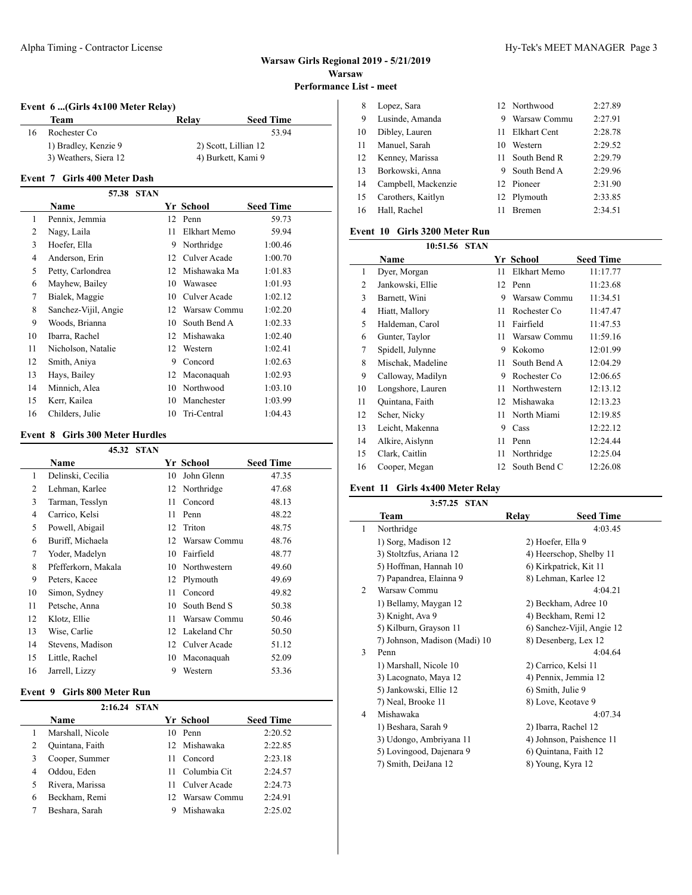$\overline{a}$ 

#### Alpha Timing - Contractor License 1999 and 2009 and 2009 and 2009 and 2009 and 2009 and 2009 and 2009 and 2009 and 2009 and 2009 and 2009 and 2009 and 2009 and 2009 and 2009 and 2009 and 2009 and 2009 and 2009 and 2009 and

**Event 6 ...(Girls 4x100 Meter Relay)**

|    | Team                  | Relav | <b>Seed Time</b>     |
|----|-----------------------|-------|----------------------|
| 16 | Rochester Co          |       | 53.94                |
|    | 1) Bradley, Kenzie 9  |       | 2) Scott, Lillian 12 |
|    | 3) Weathers, Siera 12 |       | 4) Burkett, Kami 9   |

#### **Event 7 Girls 400 Meter Dash**

|                | <b>STAN</b><br>57.38 |    |              |                  |  |
|----------------|----------------------|----|--------------|------------------|--|
|                | Name                 |    | Yr School    | <b>Seed Time</b> |  |
| $\mathbf{1}$   | Pennix, Jemmia       | 12 | Penn         | 59.73            |  |
| $\overline{2}$ | Nagy, Laila          | 11 | Elkhart Memo | 59.94            |  |
| 3              | Hoefer, Ella         | 9  | Northridge   | 1:00.46          |  |
| 4              | Anderson, Erin       | 12 | Culver Acade | 1:00.70          |  |
| 5              | Petty, Carlondrea    | 12 | Mishawaka Ma | 1:01.83          |  |
| 6              | Mayhew, Bailey       | 10 | Wawasee      | 1:01.93          |  |
| 7              | Bialek, Maggie       | 10 | Culver Acade | 1:02.12          |  |
| 8              | Sanchez-Vijil, Angie | 12 | Warsaw Commu | 1:02.20          |  |
| 9              | Woods, Brianna       | 10 | South Bend A | 1:02.33          |  |
| 10             | Ibarra, Rachel       | 12 | Mishawaka    | 1:02.40          |  |
| 11             | Nicholson, Natalie   | 12 | Western      | 1:02.41          |  |
| 12             | Smith, Aniya         | 9  | Concord      | 1:02.63          |  |
| 13             | Hays, Bailey         | 12 | Maconaquah   | 1:02.93          |  |
| 14             | Minnich, Alea        | 10 | Northwood    | 1:03.10          |  |
| 15             | Kerr, Kailea         | 10 | Manchester   | 1:03.99          |  |
| 16             | Childers, Julie      | 10 | Tri-Central  | 1:04.43          |  |

## **Event 8 Girls 300 Meter Hurdles**

|                | 45.32               | <b>STAN</b> |    |              |                  |
|----------------|---------------------|-------------|----|--------------|------------------|
|                | Name                |             |    | Yr School    | <b>Seed Time</b> |
| 1              | Delinski, Cecilia   |             | 10 | John Glenn   | 47.35            |
| $\overline{c}$ | Lehman, Karlee      |             | 12 | Northridge   | 47.68            |
| 3              | Tarman, Tesslyn     |             | 11 | Concord      | 48.13            |
| 4              | Carrico, Kelsi      |             | 11 | Penn         | 48.22            |
| 5              | Powell, Abigail     |             | 12 | Triton       | 48.75            |
| 6              | Buriff, Michaela    |             | 12 | Warsaw Commu | 48.76            |
| 7              | Yoder, Madelyn      |             | 10 | Fairfield    | 48.77            |
| 8              | Pfefferkorn, Makala |             | 10 | Northwestern | 49.60            |
| 9              | Peters, Kacee       |             | 12 | Plymouth     | 49.69            |
| 10             | Simon, Sydney       |             | 11 | Concord      | 49.82            |
| 11             | Petsche, Anna       |             | 10 | South Bend S | 50.38            |
| 12             | Klotz, Ellie        |             | 11 | Warsaw Commu | 50.46            |
| 13             | Wise, Carlie        |             | 12 | Lakeland Chr | 50.50            |
| 14             | Stevens, Madison    |             | 12 | Culver Acade | 51.12            |
| 15             | Little, Rachel      |             | 10 | Maconaquah   | 52.09            |
| 16             | Jarrell, Lizzy      |             | 9  | Western      | 53.36            |

## **Event 9 Girls 800 Meter Run**

|   | 2:16.24 STAN     |     |              |                  |  |
|---|------------------|-----|--------------|------------------|--|
|   | <b>Name</b>      |     | Yr School    | <b>Seed Time</b> |  |
|   | Marshall, Nicole | 10  | Penn         | 2:20.52          |  |
| 2 | Quintana, Faith  |     | 12 Mishawaka | 2:22.85          |  |
| 3 | Cooper, Summer   | 11  | Concord      | 2:23.18          |  |
| 4 | Oddou, Eden      | 11  | Columbia Cit | 2:24.57          |  |
| 5 | Rivera, Marissa  | 11  | Culver Acade | 2:24.73          |  |
| 6 | Beckham, Remi    | 12. | Warsaw Commu | 2:24.91          |  |
|   | Beshara, Sarah   |     | Mishawaka    | 2:25.02          |  |

| 8   | Lopez, Sara         |     | 12 Northwood   | 2:27.89 |
|-----|---------------------|-----|----------------|---------|
| 9   | Lusinde, Amanda     | 9   | Warsaw Commu   | 2:27.91 |
| 10  | Dibley, Lauren      | 11  | Elkhart Cent   | 2:28.78 |
| -11 | Manuel, Sarah       | 10  | Western        | 2:29.52 |
| 12  | Kenney, Marissa     | 11. | South Bend R   | 2:29.79 |
| 13  | Borkowski, Anna     |     | 9 South Bend A | 2:29.96 |
| 14  | Campbell, Mackenzie |     | 12 Pioneer     | 2:31.90 |
| 15  | Carothers, Kaitlyn  |     | 12 Plymouth    | 2:33.85 |
| 16  | Hall, Rachel        |     | <b>Bremen</b>  | 2:34.51 |
|     |                     |     |                |         |

## **Event 10 Girls 3200 Meter Run**

|                | 10:51.56 STAN     |    |              |                  |
|----------------|-------------------|----|--------------|------------------|
|                | Name              |    | Yr School    | <b>Seed Time</b> |
| 1              | Dyer, Morgan      | 11 | Elkhart Memo | 11:17.77         |
| 2              | Jankowski, Ellie  | 12 | Penn         | 11:23.68         |
| 3              | Barnett, Wini     | 9  | Warsaw Commu | 11:34.51         |
| $\overline{4}$ | Hiatt, Mallory    | 11 | Rochester Co | 11:47.47         |
| 5              | Haldeman, Carol   | 11 | Fairfield    | 11:47.53         |
| 6              | Gunter, Taylor    | 11 | Warsaw Commu | 11:59.16         |
| 7              | Spidell, Julynne  | 9  | Kokomo       | 12:01.99         |
| 8              | Mischak, Madeline | 11 | South Bend A | 12:04.29         |
| 9              | Calloway, Madilyn | 9  | Rochester Co | 12:06.65         |
| 10             | Longshore, Lauren | 11 | Northwestern | 12:13.12         |
| 11             | Quintana, Faith   | 12 | Mishawaka    | 12:13.23         |
| 12             | Scher, Nicky      | 11 | North Miami  | 12:19.85         |
| 13             | Leicht, Makenna   | 9  | Cass         | 12:22.12         |
| 14             | Alkire, Aislynn   | 11 | Penn         | 12:24.44         |
| 15             | Clark, Caitlin    | 11 | Northridge   | 12:25.04         |
| 16             | Cooper, Megan     | 12 | South Bend C | 12:26.08         |

#### **Event 11 Girls 4x400 Meter Relay**

|   | 3:57.25 STAN                  |       |                            |
|---|-------------------------------|-------|----------------------------|
|   | Team                          | Relay | <b>Seed Time</b>           |
| 1 | Northridge                    |       | 4:03.45                    |
|   | 1) Sorg, Madison 12           |       | 2) Hoefer, Ella 9          |
|   | 3) Stoltzfus, Ariana 12       |       | 4) Heerschop, Shelby 11    |
|   | 5) Hoffman, Hannah 10         |       | 6) Kirkpatrick, Kit 11     |
|   | 7) Papandrea, Elainna 9       |       | 8) Lehman, Karlee 12       |
| 2 | Warsaw Commu                  |       | 4:04.21                    |
|   | 1) Bellamy, Maygan 12         |       | 2) Beckham, Adree 10       |
|   | 3) Knight, Ava 9              |       | 4) Beckham, Remi 12        |
|   | 5) Kilburn, Grayson 11        |       | 6) Sanchez-Vijil, Angie 12 |
|   | 7) Johnson, Madison (Madi) 10 |       | 8) Desenberg, Lex 12       |
| 3 | Penn                          |       | 4:04.64                    |
|   | 1) Marshall, Nicole 10        |       | 2) Carrico, Kelsi 11       |
|   | 3) Lacognato, Maya 12         |       | 4) Pennix, Jemmia 12       |
|   | 5) Jankowski, Ellie 12        |       | 6) Smith, Julie 9          |
|   | 7) Neal, Brooke 11            |       | 8) Love, Keotave 9         |
| 4 | Mishawaka                     |       | 4:07.34                    |
|   | 1) Beshara, Sarah 9           |       | 2) Ibarra, Rachel 12       |
|   | 3) Udongo, Ambriyana 11       |       | 4) Johnson, Paishence 11   |
|   | 5) Lovingood, Dajenara 9      |       | 6) Quintana, Faith 12      |
|   | 7) Smith, DeiJana 12          |       | 8) Young, Kyra 12          |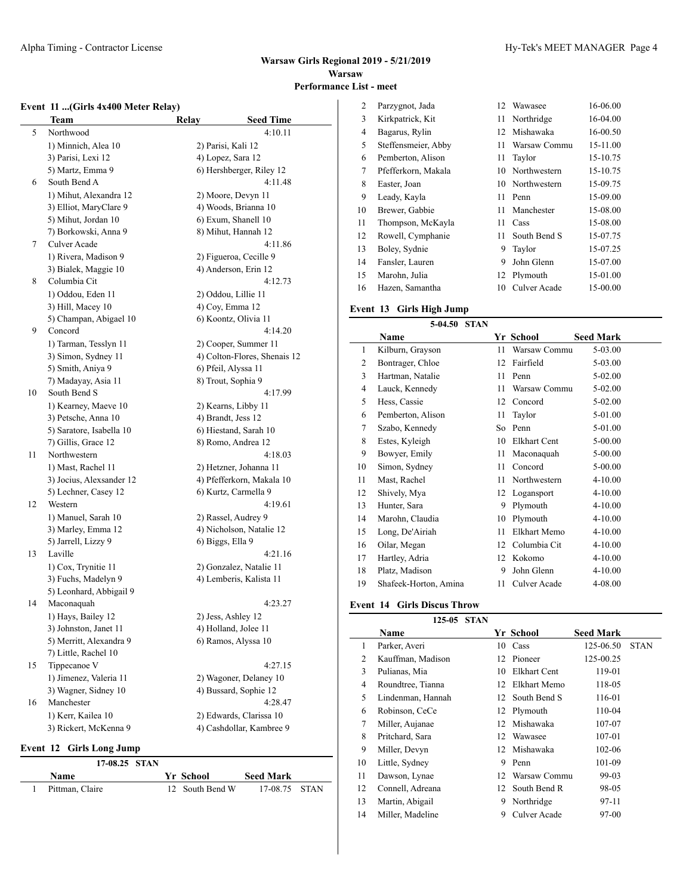## **Event 11 ...(Girls 4x400 Meter Relay)**

|    | <b>Team</b>              | Relay | <b>Seed Time</b>             |
|----|--------------------------|-------|------------------------------|
| 5  | Northwood                |       | 4:10.11                      |
|    | 1) Minnich, Alea 10      |       | 2) Parisi, Kali 12           |
|    | 3) Parisi, Lexi 12       |       | 4) Lopez, Sara 12            |
|    | 5) Martz, Emma 9         |       | 6) Hershberger, Riley 12     |
| 6  | South Bend A             |       | 4:11.48                      |
|    | 1) Mihut, Alexandra 12   |       | 2) Moore, Devyn 11           |
|    | 3) Elliot, MaryClare 9   |       | 4) Woods, Brianna 10         |
|    | 5) Mihut, Jordan 10      |       | 6) Exum, Shanell 10          |
|    | 7) Borkowski, Anna 9     |       | 8) Mihut, Hannah 12          |
| 7  | Culver Acade             |       | 4:11.86                      |
|    | 1) Rivera, Madison 9     |       | 2) Figueroa, Cecille 9       |
|    | 3) Bialek, Maggie 10     |       | 4) Anderson, Erin 12         |
| 8  | Columbia Cit             |       | 4:12.73                      |
|    | 1) Oddou, Eden 11        |       | 2) Oddou, Lillie 11          |
|    | 3) Hill, Macey 10        |       | 4) Coy, Emma 12              |
|    | 5) Champan, Abigael 10   |       | 6) Koontz, Olivia 11         |
| 9  | Concord                  |       | 4:14.20                      |
|    | 1) Tarman, Tesslyn 11    |       | 2) Cooper, Summer 11         |
|    | 3) Simon, Sydney 11      |       | 4) Colton-Flores, Shenais 12 |
|    | 5) Smith, Aniya 9        |       | 6) Pfeil, Alyssa 11          |
|    | 7) Madayay, Asia 11      |       | 8) Trout, Sophia 9           |
| 10 | South Bend S             |       | 4:17.99                      |
|    | 1) Kearney, Maeve 10     |       | 2) Kearns, Libby 11          |
|    | 3) Petsche, Anna 10      |       | 4) Brandt, Jess 12           |
|    | 5) Saratore, Isabella 10 |       | 6) Hiestand, Sarah 10        |
|    | 7) Gillis, Grace 12      |       | 8) Romo, Andrea 12           |
| 11 | Northwestern             |       | 4:18.03                      |
|    | 1) Mast, Rachel 11       |       | 2) Hetzner, Johanna 11       |
|    | 3) Jocius, Alexsander 12 |       | 4) Pfefferkorn, Makala 10    |
|    | 5) Lechner, Casey 12     |       | 6) Kurtz, Carmella 9         |
| 12 | Western                  |       | 4:19.61                      |
|    | 1) Manuel, Sarah 10      |       | 2) Rassel, Audrey 9          |
|    | 3) Marley, Emma 12       |       | 4) Nicholson, Natalie 12     |
|    | 5) Jarrell, Lizzy 9      |       | 6) Biggs, Ella 9             |
| 13 | Laville                  |       | 4:21.16                      |
|    | 1) Cox, Trynitie 11      |       | 2) Gonzalez, Natalie 11      |
|    | 3) Fuchs, Madelyn 9      |       | 4) Lemberis, Kalista 11      |
|    | 5) Leonhard, Abbigail 9  |       |                              |
| 14 | Maconaquah               |       | 4:23.27                      |
|    | 1) Hays, Bailey 12       |       | 2) Jess, Ashley 12           |
|    | 3) Johnston, Janet 11    |       | 4) Holland, Jolee 11         |
|    | 5) Merritt, Alexandra 9  |       | 6) Ramos, Alyssa 10          |
|    | 7) Little, Rachel 10     |       |                              |
| 15 | Tippecanoe V             |       | 4:27.15                      |
|    | 1) Jimenez, Valeria 11   |       | 2) Wagoner, Delaney 10       |
|    | 3) Wagner, Sidney 10     |       | 4) Bussard, Sophie 12        |
| 16 | Manchester               |       | 4:28.47                      |
|    | 1) Kerr, Kailea 10       |       | 2) Edwards, Clarissa 10      |
|    | 3) Rickert, McKenna 9    |       | 4) Cashdollar, Kambree 9     |
|    |                          |       |                              |

#### **Event 12 Girls Long Jump**

| $17-08.25$ STAN |  |                 |                  |  |
|-----------------|--|-----------------|------------------|--|
| Name            |  | Yr School       | <b>Seed Mark</b> |  |
| Pittman, Claire |  | 12 South Bend W | 17-08.75 STAN    |  |

| $\overline{2}$ | Parzygnot, Jada     | 12 | Wawasee      | 16-06.00 |
|----------------|---------------------|----|--------------|----------|
| 3              | Kirkpatrick, Kit    | 11 | Northridge   | 16-04.00 |
| 4              | Bagarus, Rylin      | 12 | Mishawaka    | 16-00.50 |
| 5              | Steffensmeier, Abby | 11 | Warsaw Commu | 15-11.00 |
| 6              | Pemberton, Alison   | 11 | Taylor       | 15-10.75 |
| 7              | Pfefferkorn, Makala | 10 | Northwestern | 15-10.75 |
| 8              | Easter, Joan        | 10 | Northwestern | 15-09.75 |
| 9              | Leady, Kayla        | 11 | Penn         | 15-09.00 |
| 10             | Brewer, Gabbie      | 11 | Manchester   | 15-08.00 |
| 11             | Thompson, McKayla   | 11 | Cass         | 15-08.00 |
| 12             | Rowell, Cymphanie   | 11 | South Bend S | 15-07.75 |
| 13             | Boley, Sydnie       | 9  | Taylor       | 15-07.25 |
| 14             | Fansler, Lauren     | 9  | John Glenn   | 15-07.00 |
| 15             | Marohn, Julia       | 12 | Plymouth     | 15-01.00 |
| 16             | Hazen, Samantha     | 10 | Culver Acade | 15-00.00 |

# **Event 13 Girls High Jump**

# **5-04.50 STAN**

|    | Name                  |    | Yr School           | <b>Seed Mark</b> |
|----|-----------------------|----|---------------------|------------------|
| 1  | Kilburn, Grayson      | 11 | Warsaw Commu        | 5-03.00          |
| 2  | Bontrager, Chloe      | 12 | Fairfield           | 5-03.00          |
| 3  | Hartman, Natalie      | 11 | Penn                | 5-02.00          |
| 4  | Lauck, Kennedy        | 11 | Warsaw Commu        | 5-02.00          |
| 5  | Hess, Cassie          | 12 | Concord             | 5-02.00          |
| 6  | Pemberton, Alison     | 11 | Taylor              | 5-01.00          |
| 7  | Szabo, Kennedy        | So | Penn                | 5-01.00          |
| 8  | Estes, Kyleigh        | 10 | <b>Elkhart Cent</b> | 5-00.00          |
| 9  | Bowyer, Emily         | 11 | Maconaquah          | 5-00.00          |
| 10 | Simon, Sydney         | 11 | Concord             | 5-00.00          |
| 11 | Mast, Rachel          | 11 | Northwestern        | $4 - 10.00$      |
| 12 | Shively, Mya          | 12 | Logansport          | $4 - 10.00$      |
| 13 | Hunter, Sara          | 9  | Plymouth            | $4 - 10.00$      |
| 14 | Marohn, Claudia       | 10 | Plymouth            | $4 - 10.00$      |
| 15 | Long, De'Airiah       | 11 | Elkhart Memo        | $4 - 10.00$      |
| 16 | Oilar, Megan          | 12 | Columbia Cit        | $4 - 10.00$      |
| 17 | Hartley, Adria        | 12 | Kokomo              | $4 - 10.00$      |
| 18 | Platz, Madison        | 9  | John Glenn          | $4 - 10.00$      |
| 19 | Shafeek-Horton, Amina | 11 | Culver Acade        | 4-08.00          |

# **Event 14 Girls Discus Throw**

|    | 125-05 STAN       |    |              |                  |             |
|----|-------------------|----|--------------|------------------|-------------|
|    | <b>Name</b>       |    | Yr School    | <b>Seed Mark</b> |             |
| 1  | Parker, Averi     | 10 | Cass         | 125-06.50        | <b>STAN</b> |
| 2  | Kauffman, Madison | 12 | Pioneer      | 125-00.25        |             |
| 3  | Pulianas, Mia     | 10 | Elkhart Cent | 119-01           |             |
| 4  | Roundtree, Tianna | 12 | Elkhart Memo | 118-05           |             |
| 5  | Lindenman, Hannah | 12 | South Bend S | 116-01           |             |
| 6  | Robinson, CeCe    |    | 12 Plymouth  | 110-04           |             |
| 7  | Miller, Aujanae   | 12 | Mishawaka    | 107-07           |             |
| 8  | Pritchard, Sara   | 12 | Wawasee      | 107-01           |             |
| 9  | Miller, Devyn     |    | 12 Mishawaka | 102-06           |             |
| 10 | Little, Sydney    | 9  | Penn         | 101-09           |             |
| 11 | Dawson, Lynae     | 12 | Warsaw Commu | 99-03            |             |
| 12 | Connell, Adreana  | 12 | South Bend R | 98-05            |             |
| 13 | Martin, Abigail   | 9  | Northridge   | 97-11            |             |
| 14 | Miller, Madeline  | 9  | Culver Acade | 97-00            |             |